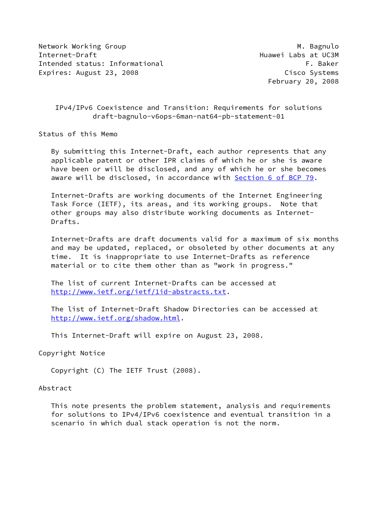Network Working Group Manuscript Communication of the Muslim Muslim Muslim Muslim Muslim Muslim Muslim Muslim M Internet-Draft Huawei Labs at UC3M Intended status: Informational example of the status of the state of the state of the state of the state of the state of the state of the state of the state of the state of the state of the state of the state of the state Expires: August 23, 2008 Cisco Systems

February 20, 2008

# IPv4/IPv6 Coexistence and Transition: Requirements for solutions draft-bagnulo-v6ops-6man-nat64-pb-statement-01

Status of this Memo

 By submitting this Internet-Draft, each author represents that any applicable patent or other IPR claims of which he or she is aware have been or will be disclosed, and any of which he or she becomes aware will be disclosed, in accordance with Section [6 of BCP 79.](https://datatracker.ietf.org/doc/pdf/bcp79#section-6)

 Internet-Drafts are working documents of the Internet Engineering Task Force (IETF), its areas, and its working groups. Note that other groups may also distribute working documents as Internet- Drafts.

 Internet-Drafts are draft documents valid for a maximum of six months and may be updated, replaced, or obsoleted by other documents at any time. It is inappropriate to use Internet-Drafts as reference material or to cite them other than as "work in progress."

 The list of current Internet-Drafts can be accessed at <http://www.ietf.org/ietf/1id-abstracts.txt>.

 The list of Internet-Draft Shadow Directories can be accessed at <http://www.ietf.org/shadow.html>.

This Internet-Draft will expire on August 23, 2008.

Copyright Notice

Copyright (C) The IETF Trust (2008).

#### Abstract

 This note presents the problem statement, analysis and requirements for solutions to IPv4/IPv6 coexistence and eventual transition in a scenario in which dual stack operation is not the norm.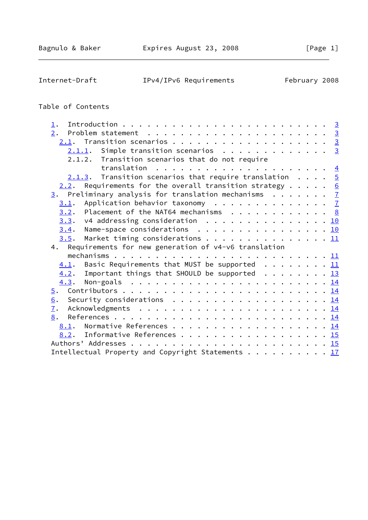Internet-Draft IPv4/IPv6 Requirements February 2008

# Table of Contents

| $1$ .                                                                                                                                             |  |
|---------------------------------------------------------------------------------------------------------------------------------------------------|--|
| 2.<br>Problem statement $\ldots \ldots \ldots \ldots \ldots \ldots \ldots \ldots \frac{3}{2}$                                                     |  |
| $2.1$ . Transition scenarios 3                                                                                                                    |  |
| $2.1.1.$ Simple transition scenarios 3                                                                                                            |  |
| 2.1.2. Transition scenarios that do not require                                                                                                   |  |
|                                                                                                                                                   |  |
| $2.1.3$ . Transition scenarios that require translation $5$                                                                                       |  |
| Requirements for the overall transition strategy $\cdots$ $\cdots$ 6<br>2.2.                                                                      |  |
| $\frac{3}{2}$ . Preliminary analysis for translation mechanisms $\frac{7}{2}$                                                                     |  |
| Application behavior taxonomy $\cdots$ $\frac{7}{2}$<br>3.1.                                                                                      |  |
| Placement of the NAT64 mechanisms $\cdot \cdot \cdot \cdot \cdot \cdot \cdot \cdot \cdot \cdot \cdot \cdot \cdot \cdot \cdot \cdot \cdot$<br>3.2. |  |
| $3.3.$ v4 addressing consideration 10                                                                                                             |  |
| Name-space considerations 1 <u>0</u><br>3.4.                                                                                                      |  |
| Market timing considerations 11<br>3.5.                                                                                                           |  |
| 4. Requirements for new generation of v4-v6 translation                                                                                           |  |
|                                                                                                                                                   |  |
| $4.1$ . Basic Requirements that MUST be supported 11                                                                                              |  |
| $4.2$ . Important things that SHOULD be supported 13                                                                                              |  |
| Non-goals $\ldots \ldots \ldots \ldots \ldots \ldots \ldots \ldots \ldots \underline{14}$<br>4.3.                                                 |  |
| $\overline{5}$ .                                                                                                                                  |  |
| Security considerations $\ldots \ldots \ldots \ldots \ldots \ldots \ldots \frac{14}{14}$<br>6.                                                    |  |
| 7.                                                                                                                                                |  |
| 8.                                                                                                                                                |  |
| 8.1. Normative References 14                                                                                                                      |  |
| 8.2. Informative References 15                                                                                                                    |  |
|                                                                                                                                                   |  |
| Intellectual Property and Copyright Statements 17                                                                                                 |  |
|                                                                                                                                                   |  |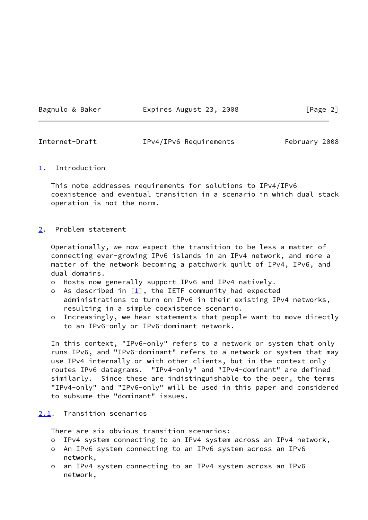# Bagnulo & Baker **Expires August 23, 2008** [Page 2]

<span id="page-2-1"></span>Internet-Draft IPv4/IPv6 Requirements February 2008

### <span id="page-2-0"></span>[1](#page-2-0). Introduction

 This note addresses requirements for solutions to IPv4/IPv6 coexistence and eventual transition in a scenario in which dual stack operation is not the norm.

### <span id="page-2-2"></span>[2](#page-2-2). Problem statement

 Operationally, we now expect the transition to be less a matter of connecting ever-growing IPv6 islands in an IPv4 network, and more a matter of the network becoming a patchwork quilt of IPv4, IPv6, and dual domains.

- o Hosts now generally support IPv6 and IPv4 natively.
- o As described in  $[1]$  $[1]$ , the IETF community had expected administrations to turn on IPv6 in their existing IPv4 networks, resulting in a simple coexistence scenario.
- o Increasingly, we hear statements that people want to move directly to an IPv6-only or IPv6-dominant network.

 In this context, "IPv6-only" refers to a network or system that only runs IPv6, and "IPv6-dominant" refers to a network or system that may use IPv4 internally or with other clients, but in the context only routes IPv6 datagrams. "IPv4-only" and "IPv4-dominant" are defined similarly. Since these are indistinguishable to the peer, the terms "IPv4-only" and "IPv6-only" will be used in this paper and considered to subsume the "dominant" issues.

# <span id="page-2-3"></span>[2.1](#page-2-3). Transition scenarios

There are six obvious transition scenarios:

- o IPv4 system connecting to an IPv4 system across an IPv4 network,
- o An IPv6 system connecting to an IPv6 system across an IPv6 network,
- o an IPv4 system connecting to an IPv4 system across an IPv6 network,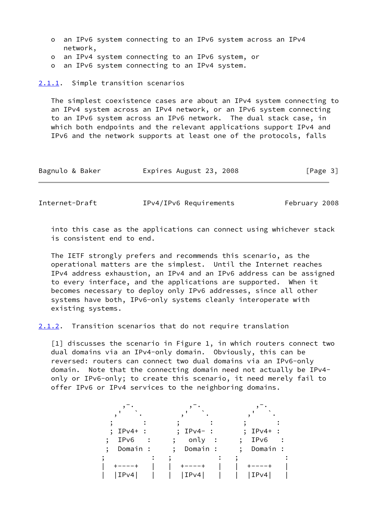- o an IPv6 system connecting to an IPv6 system across an IPv4 network,
- o an IPv4 system connecting to an IPv6 system, or
- o an IPv6 system connecting to an IPv4 system.

<span id="page-3-0"></span>[2.1.1](#page-3-0). Simple transition scenarios

 The simplest coexistence cases are about an IPv4 system connecting to an IPv4 system across an IPv4 network, or an IPv6 system connecting to an IPv6 system across an IPv6 network. The dual stack case, in which both endpoints and the relevant applications support IPv4 and IPv6 and the network supports at least one of the protocols, falls

| Bagnulo & Baker | Expires August 23, 2008 | [Page 3] |
|-----------------|-------------------------|----------|
|                 |                         |          |

<span id="page-3-1"></span>Internet-Draft IPv4/IPv6 Requirements February 2008

 into this case as the applications can connect using whichever stack is consistent end to end.

 The IETF strongly prefers and recommends this scenario, as the operational matters are the simplest. Until the Internet reaches IPv4 address exhaustion, an IPv4 and an IPv6 address can be assigned to every interface, and the applications are supported. When it becomes necessary to deploy only IPv6 addresses, since all other systems have both, IPv6-only systems cleanly interoperate with existing systems.

<span id="page-3-3"></span>[2.1.2](#page-3-3). Transition scenarios that do not require translation

<span id="page-3-2"></span>[1] discusses the scenario in Figure 1, in which routers connect two dual domains via an IPv4-only domain. Obviously, this can be reversed: routers can connect two dual domains via an IPv6-only domain. Note that the connecting domain need not actually be IPv4 only or IPv6-only; to create this scenario, it need merely fail to offer IPv6 or IPv4 services to the neighboring domains.

| $IPv4+$ :<br>IPv6<br>$\bullet$<br>Domain : | $IPv4-$ :<br>only<br>$\ddot{\phantom{1}}$<br>Domain : | $IPv4+$ :<br>IPv6<br>Domain : |
|--------------------------------------------|-------------------------------------------------------|-------------------------------|
| IPv4                                       | IPv4                                                  | IPv4                          |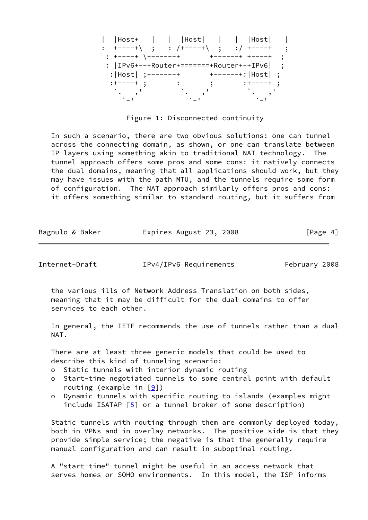| $ Host+    $ $ Host     $ $ Host $                                                                                                                                                                 |  |                   |  |
|----------------------------------------------------------------------------------------------------------------------------------------------------------------------------------------------------|--|-------------------|--|
| $\begin{array}{cccc} \vdots & + & \rightarrow & - & - & + \setminus & \vdots & \vdots & / & + & \rightarrow & - & - & + \setminus & \vdots & \vdots & / & + & \rightarrow & - & - & + \end{array}$ |  |                   |  |
| $: +---+$ $+----+$                                                                                                                                                                                 |  | +------+ +----+   |  |
| : $ IPv6+--+Router+=====+Router+-+IPv6 $ ;                                                                                                                                                         |  |                   |  |
| : $ Host $ ; +------+                                                                                                                                                                              |  | +------+: Host  ; |  |
| :+----+ ;                                                                                                                                                                                          |  |                   |  |
|                                                                                                                                                                                                    |  |                   |  |
|                                                                                                                                                                                                    |  |                   |  |

Figure 1: Disconnected continuity

 In such a scenario, there are two obvious solutions: one can tunnel across the connecting domain, as shown, or one can translate between IP layers using something akin to traditional NAT technology. The tunnel approach offers some pros and some cons: it natively connects the dual domains, meaning that all applications should work, but they may have issues with the path MTU, and the tunnels require some form of configuration. The NAT approach similarly offers pros and cons: it offers something similar to standard routing, but it suffers from

| Bagnulo & Baker | Expires August 23, 2008 | [Page 4] |
|-----------------|-------------------------|----------|
|-----------------|-------------------------|----------|

<span id="page-4-0"></span>Internet-Draft IPv4/IPv6 Requirements February 2008

 the various ills of Network Address Translation on both sides, meaning that it may be difficult for the dual domains to offer services to each other.

 In general, the IETF recommends the use of tunnels rather than a dual NAT.

 There are at least three generic models that could be used to describe this kind of tunneling scenario:

- o Static tunnels with interior dynamic routing
- o Start-time negotiated tunnels to some central point with default routing (example in  $[9]$  $[9]$ )
- o Dynamic tunnels with specific routing to islands (examples might include ISATAP  $[5]$  $[5]$  or a tunnel broker of some description)

 Static tunnels with routing through them are commonly deployed today, both in VPNs and in overlay networks. The positive side is that they provide simple service; the negative is that the generally require manual configuration and can result in suboptimal routing.

 A "start-time" tunnel might be useful in an access network that serves homes or SOHO environments. In this model, the ISP informs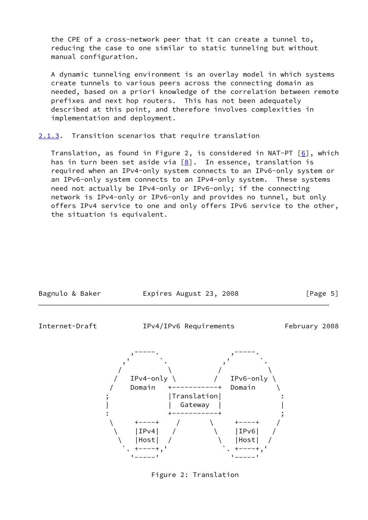the CPE of a cross-network peer that it can create a tunnel to, reducing the case to one similar to static tunneling but without manual configuration.

 A dynamic tunneling environment is an overlay model in which systems create tunnels to various peers across the connecting domain as needed, based on a priori knowledge of the correlation between remote prefixes and next hop routers. This has not been adequately described at this point, and therefore involves complexities in implementation and deployment.

<span id="page-5-0"></span>[2.1.3](#page-5-0). Transition scenarios that require translation

Translation, as found in Figure 2, is considered in NAT-PT  $[6]$  $[6]$ , which has in turn been set aside via  $[8]$  $[8]$ . In essence, translation is required when an IPv4-only system connects to an IPv6-only system or an IPv6-only system connects to an IPv4-only system. These systems need not actually be IPv4-only or IPv6-only; if the connecting network is IPv4-only or IPv6-only and provides no tunnel, but only offers IPv4 service to one and only offers IPv6 service to the other, the situation is equivalent.

<span id="page-5-1"></span>

Figure 2: Translation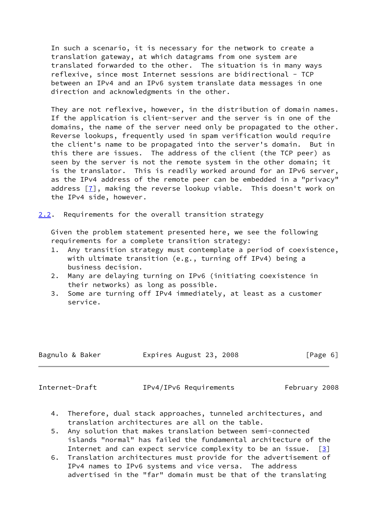In such a scenario, it is necessary for the network to create a translation gateway, at which datagrams from one system are translated forwarded to the other. The situation is in many ways reflexive, since most Internet sessions are bidirectional - TCP between an IPv4 and an IPv6 system translate data messages in one direction and acknowledgments in the other.

They are not reflexive, however, in the distribution of domain names. If the application is client-server and the server is in one of the domains, the name of the server need only be propagated to the other. Reverse lookups, frequently used in spam verification would require the client's name to be propagated into the server's domain. But in this there are issues. The address of the client (the TCP peer) as seen by the server is not the remote system in the other domain; it is the translator. This is readily worked around for an IPv6 server, as the IPv4 address of the remote peer can be embedded in a "privacy" address [\[7](#page-16-4)], making the reverse lookup viable. This doesn't work on the IPv4 side, however.

<span id="page-6-0"></span>[2.2](#page-6-0). Requirements for the overall transition strategy

 Given the problem statement presented here, we see the following requirements for a complete transition strategy:

- 1. Any transition strategy must contemplate a period of coexistence, with ultimate transition (e.g., turning off IPv4) being a business decision.
- 2. Many are delaying turning on IPv6 (initiating coexistence in their networks) as long as possible.
- 3. Some are turning off IPv4 immediately, at least as a customer service.

| Expires August 23, 2008<br>Bagnulo & Baker | [Page 6] |
|--------------------------------------------|----------|
|--------------------------------------------|----------|

<span id="page-6-1"></span>

Internet-Draft IPv4/IPv6 Requirements February 2008

- 4. Therefore, dual stack approaches, tunneled architectures, and translation architectures are all on the table.
- 5. Any solution that makes translation between semi-connected islands "normal" has failed the fundamental architecture of the Internet and can expect service complexity to be an issue.  $\lceil 3 \rceil$
- 6. Translation architectures must provide for the advertisement of IPv4 names to IPv6 systems and vice versa. The address advertised in the "far" domain must be that of the translating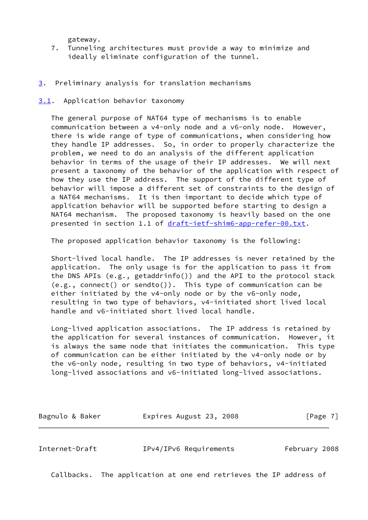gateway.

- 7. Tunneling architectures must provide a way to minimize and ideally eliminate configuration of the tunnel.
- <span id="page-7-0"></span>[3](#page-7-0). Preliminary analysis for translation mechanisms
- <span id="page-7-1"></span>[3.1](#page-7-1). Application behavior taxonomy

 The general purpose of NAT64 type of mechanisms is to enable communication between a v4-only node and a v6-only node. However, there is wide range of type of communications, when considering how they handle IP addresses. So, in order to properly characterize the problem, we need to do an analysis of the different application behavior in terms of the usage of their IP addresses. We will next present a taxonomy of the behavior of the application with respect of how they use the IP address. The support of the different type of behavior will impose a different set of constraints to the design of a NAT64 mechanisms. It is then important to decide which type of application behavior will be supported before starting to design a NAT64 mechanism. The proposed taxonomy is heavily based on the one presented in section 1.1 of [draft-ietf-shim6-app-refer-00.txt.](https://datatracker.ietf.org/doc/pdf/draft-ietf-shim6-app-refer-00.txt)

The proposed application behavior taxonomy is the following:

 Short-lived local handle. The IP addresses is never retained by the application. The only usage is for the application to pass it from the DNS APIs (e.g., getaddrinfo()) and the API to the protocol stack (e.g., connect() or sendto()). This type of communication can be either initiated by the v4-only node or by the v6-only node, resulting in two type of behaviors, v4-initiated short lived local handle and v6-initiated short lived local handle.

 Long-lived application associations. The IP address is retained by the application for several instances of communication. However, it is always the same node that initiates the communication. This type of communication can be either initiated by the v4-only node or by the v6-only node, resulting in two type of behaviors, v4-initiated long-lived associations and v6-initiated long-lived associations.

| Bagnulo & Baker | Expires August 23, 2008 | [Page 7] |
|-----------------|-------------------------|----------|
|-----------------|-------------------------|----------|

<span id="page-7-2"></span>Internet-Draft IPv4/IPv6 Requirements February 2008

Callbacks. The application at one end retrieves the IP address of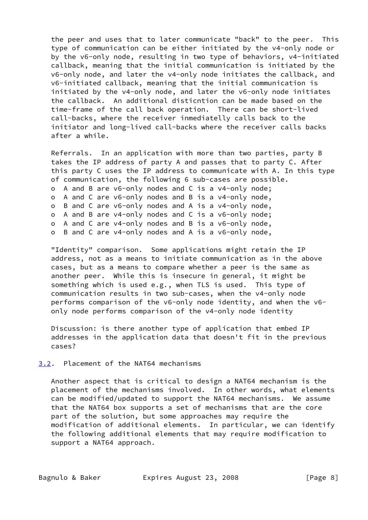the peer and uses that to later communicate "back" to the peer. This type of communication can be either initiated by the v4-only node or by the v6-only node, resulting in two type of behaviors, v4-initiated callback, meaning that the initial communication is initiated by the v6-only node, and later the v4-only node initiates the callback, and v6-initiated callback, meaning that the initial communication is initiated by the v4-only node, and later the v6-only node initiates the callback. An additional disticntion can be made based on the time-frame of the call back operation. There can be short-lived call-backs, where the receiver inmediatelly calls back to the initiator and long-lived call-backs where the receiver calls backs after a while.

 Referrals. In an application with more than two parties, party B takes the IP address of party A and passes that to party C. After this party C uses the IP address to communicate with A. In this type of communication, the following 6 sub-cases are possible. o A and B are v6-only nodes and C is a v4-only node; o A and C are v6-only nodes and B is a v4-only node, o B and C are v6-only nodes and A is a v4-only node, o A and B are v4-only nodes and C is a v6-only node; o A and C are v4-only nodes and B is a v6-only node, o B and C are v4-only nodes and A is a v6-only node,

 "Identity" comparison. Some applications might retain the IP address, not as a means to initiate communication as in the above cases, but as a means to compare whether a peer is the same as another peer. While this is insecure in general, it might be something which is used e.g., when TLS is used. This type of communication results in two sub-cases, when the v4-only node performs comparison of the v6-only node identity, and when the v6 only node performs comparison of the v4-only node identity

 Discussion: is there another type of application that embed IP addresses in the application data that doesn't fit in the previous cases?

# <span id="page-8-0"></span>[3.2](#page-8-0). Placement of the NAT64 mechanisms

 Another aspect that is critical to design a NAT64 mechanism is the placement of the mechanisms involved. In other words, what elements can be modified/updated to support the NAT64 mechanisms. We assume that the NAT64 box supports a set of mechanisms that are the core part of the solution, but some approaches may require the modification of additional elements. In particular, we can identify the following additional elements that may require modification to support a NAT64 approach.

Bagnulo & Baker **Expires August 23, 2008** [Page 8]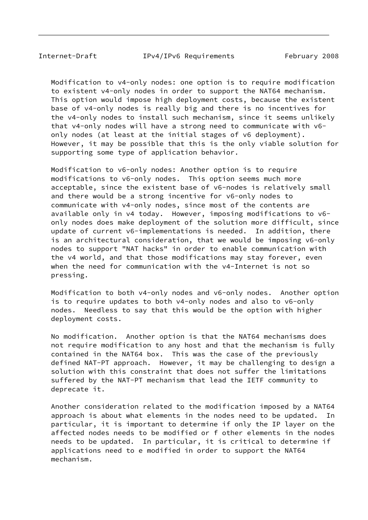Modification to v4-only nodes: one option is to require modification to existent v4-only nodes in order to support the NAT64 mechanism. This option would impose high deployment costs, because the existent base of v4-only nodes is really big and there is no incentives for the v4-only nodes to install such mechanism, since it seems unlikely that v4-only nodes will have a strong need to communicate with v6 only nodes (at least at the initial stages of v6 deployment). However, it may be possible that this is the only viable solution for supporting some type of application behavior.

 Modification to v6-only nodes: Another option is to require modifications to v6-only nodes. This option seems much more acceptable, since the existent base of v6-nodes is relatively small and there would be a strong incentive for v6-only nodes to communicate with v4-only nodes, since most of the contents are available only in v4 today. However, imposing modifications to v6 only nodes does make deployment of the solution more difficult, since update of current v6-implementations is needed. In addition, there is an architectural consideration, that we would be imposing v6-only nodes to support "NAT hacks" in order to enable communication with the v4 world, and that those modifications may stay forever, even when the need for communication with the v4-Internet is not so pressing.

 Modification to both v4-only nodes and v6-only nodes. Another option is to require updates to both v4-only nodes and also to v6-only nodes. Needless to say that this would be the option with higher deployment costs.

 No modification. Another option is that the NAT64 mechanisms does not require modification to any host and that the mechanism is fully contained in the NAT64 box. This was the case of the previously defined NAT-PT approach. However, it may be challenging to design a solution with this constraint that does not suffer the limitations suffered by the NAT-PT mechanism that lead the IETF community to deprecate it.

 Another consideration related to the modification imposed by a NAT64 approach is about what elements in the nodes need to be updated. In particular, it is important to determine if only the IP layer on the affected nodes needs to be modified or f other elements in the nodes needs to be updated. In particular, it is critical to determine if applications need to e modified in order to support the NAT64 mechanism.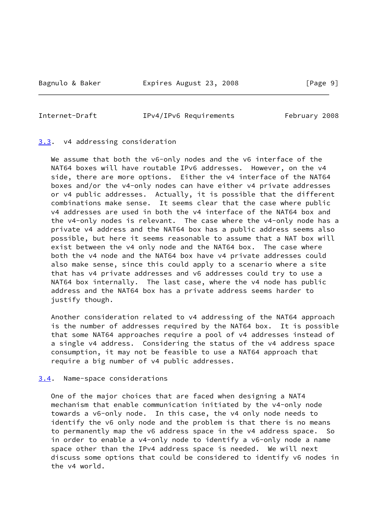# <span id="page-10-1"></span>Internet-Draft IPv4/IPv6 Requirements February 2008

#### <span id="page-10-0"></span>[3.3](#page-10-0). v4 addressing consideration

We assume that both the v6-only nodes and the v6 interface of the NAT64 boxes will have routable IPv6 addresses. However, on the v4 side, there are more options. Either the v4 interface of the NAT64 boxes and/or the v4-only nodes can have either v4 private addresses or v4 public addresses. Actually, it is possible that the different combinations make sense. It seems clear that the case where public v4 addresses are used in both the v4 interface of the NAT64 box and the v4-only nodes is relevant. The case where the v4-only node has a private v4 address and the NAT64 box has a public address seems also possible, but here it seems reasonable to assume that a NAT box will exist between the v4 only node and the NAT64 box. The case where both the v4 node and the NAT64 box have v4 private addresses could also make sense, since this could apply to a scenario where a site that has v4 private addresses and v6 addresses could try to use a NAT64 box internally. The last case, where the v4 node has public address and the NAT64 box has a private address seems harder to justify though.

 Another consideration related to v4 addressing of the NAT64 approach is the number of addresses required by the NAT64 box. It is possible that some NAT64 approaches require a pool of v4 addresses instead of a single v4 address. Considering the status of the v4 address space consumption, it may not be feasible to use a NAT64 approach that require a big number of v4 public addresses.

### <span id="page-10-2"></span>[3.4](#page-10-2). Name-space considerations

 One of the major choices that are faced when designing a NAT4 mechanism that enable communication initiated by the v4-only node towards a v6-only node. In this case, the v4 only node needs to identify the v6 only node and the problem is that there is no means to permanently map the v6 address space in the v4 address space. So in order to enable a v4-only node to identify a v6-only node a name space other than the IPv4 address space is needed. We will next discuss some options that could be considered to identify v6 nodes in the v4 world.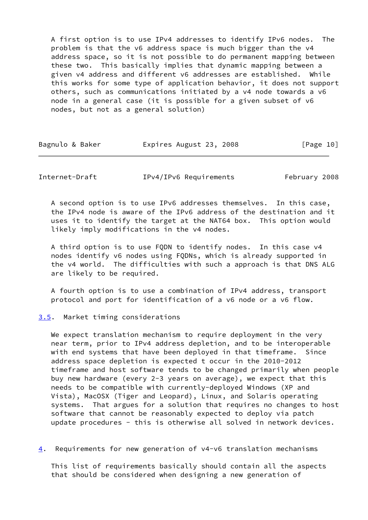A first option is to use IPv4 addresses to identify IPv6 nodes. The problem is that the v6 address space is much bigger than the v4 address space, so it is not possible to do permanent mapping between these two. This basically implies that dynamic mapping between a given v4 address and different v6 addresses are established. While this works for some type of application behavior, it does not support others, such as communications initiated by a v4 node towards a v6 node in a general case (it is possible for a given subset of v6 nodes, but not as a general solution)

| Bagnulo & Baker | Expires August 23, 2008 | [Page 10] |
|-----------------|-------------------------|-----------|
|-----------------|-------------------------|-----------|

<span id="page-11-1"></span>Internet-Draft IPv4/IPv6 Requirements February 2008

 A second option is to use IPv6 addresses themselves. In this case, the IPv4 node is aware of the IPv6 address of the destination and it uses it to identify the target at the NAT64 box. This option would likely imply modifications in the v4 nodes.

 A third option is to use FQDN to identify nodes. In this case v4 nodes identify v6 nodes using FQDNs, which is already supported in the v4 world. The difficulties with such a approach is that DNS ALG are likely to be required.

 A fourth option is to use a combination of IPv4 address, transport protocol and port for identification of a v6 node or a v6 flow.

<span id="page-11-0"></span>[3.5](#page-11-0). Market timing considerations

We expect translation mechanism to require deployment in the very near term, prior to IPv4 address depletion, and to be interoperable with end systems that have been deployed in that timeframe. Since address space depletion is expected t occur in the 2010-2012 timeframe and host software tends to be changed primarily when people buy new hardware (every 2-3 years on average), we expect that this needs to be compatible with currently-deployed Windows (XP and Vista), MacOSX (Tiger and Leopard), Linux, and Solaris operating systems. That argues for a solution that requires no changes to host software that cannot be reasonably expected to deploy via patch update procedures - this is otherwise all solved in network devices.

<span id="page-11-2"></span>[4](#page-11-2). Requirements for new generation of v4-v6 translation mechanisms

 This list of requirements basically should contain all the aspects that should be considered when designing a new generation of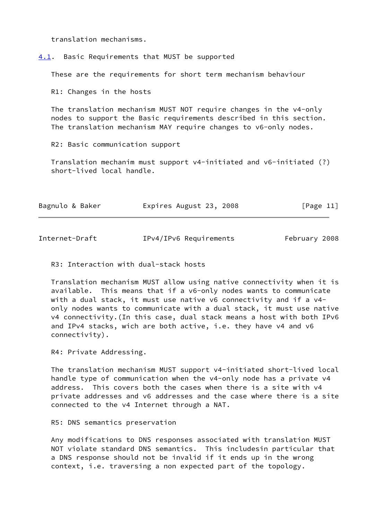translation mechanisms.

<span id="page-12-0"></span>[4.1](#page-12-0). Basic Requirements that MUST be supported

These are the requirements for short term mechanism behaviour

R1: Changes in the hosts

 The translation mechanism MUST NOT require changes in the v4-only nodes to support the Basic requirements described in this section. The translation mechanism MAY require changes to v6-only nodes.

R2: Basic communication support

 Translation mechanim must support v4-initiated and v6-initiated (?) short-lived local handle.

| Bagnulo & Baker | Expires August 23, 2008 | [Page 11] |
|-----------------|-------------------------|-----------|
|-----------------|-------------------------|-----------|

Internet-Draft IPv4/IPv6 Requirements February 2008

R3: Interaction with dual-stack hosts

 Translation mechanism MUST allow using native connectivity when it is available. This means that if a v6-only nodes wants to communicate with a dual stack, it must use native v6 connectivity and if a v4 only nodes wants to communicate with a dual stack, it must use native v4 connectivity.(In this case, dual stack means a host with both IPv6 and IPv4 stacks, wich are both active, i.e. they have v4 and v6 connectivity).

R4: Private Addressing.

 The translation mechanism MUST support v4-initiated short-lived local handle type of communication when the v4-only node has a private v4 address. This covers both the cases when there is a site with v4 private addresses and v6 addresses and the case where there is a site connected to the v4 Internet through a NAT.

R5: DNS semantics preservation

 Any modifications to DNS responses associated with translation MUST NOT violate standard DNS semantics. This includesin particular that a DNS response should not be invalid if it ends up in the wrong context, i.e. traversing a non expected part of the topology.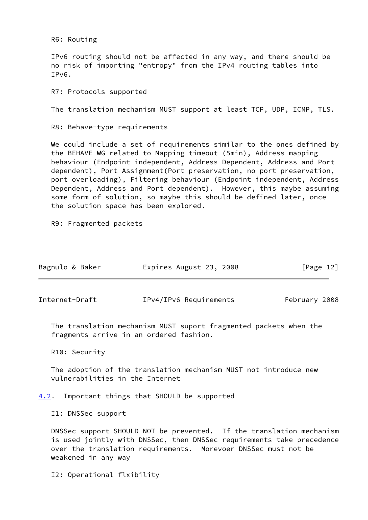R6: Routing

 IPv6 routing should not be affected in any way, and there should be no risk of importing "entropy" from the IPv4 routing tables into IPv6.

R7: Protocols supported

The translation mechanism MUST support at least TCP, UDP, ICMP, TLS.

R8: Behave-type requirements

 We could include a set of requirements similar to the ones defined by the BEHAVE WG related to Mapping timeout (5min), Address mapping behaviour (Endpoint independent, Address Dependent, Address and Port dependent), Port Assignment(Port preservation, no port preservation, port overloading), Filtering behaviour (Endpoint independent, Address Dependent, Address and Port dependent). However, this maybe assuming some form of solution, so maybe this should be defined later, once the solution space has been explored.

R9: Fragmented packets

| Bagnulo & Baker | Expires August 23, 2008 | [Page 12] |
|-----------------|-------------------------|-----------|
|-----------------|-------------------------|-----------|

<span id="page-13-1"></span>Internet-Draft IPv4/IPv6 Requirements February 2008

 The translation mechanism MUST suport fragmented packets when the fragments arrive in an ordered fashion.

R10: Security

 The adoption of the translation mechanism MUST not introduce new vulnerabilities in the Internet

<span id="page-13-0"></span>[4.2](#page-13-0). Important things that SHOULD be supported

I1: DNSSec support

 DNSSec support SHOULD NOT be prevented. If the translation mechanism is used jointly with DNSSec, then DNSSec requirements take precedence over the translation requirements. Morevoer DNSSec must not be weakened in any way

I2: Operational flxibility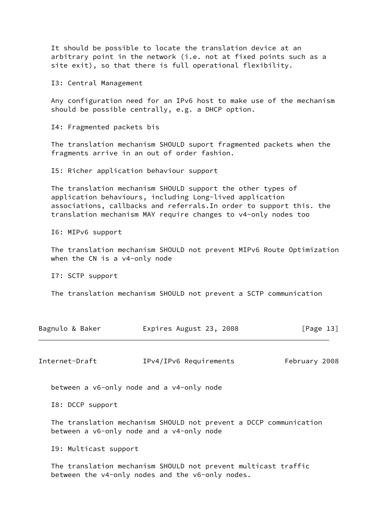It should be possible to locate the translation device at an arbitrary point in the network (i.e. not at fixed points such as a site exit), so that there is full operational flexibility.

I3: Central Management

 Any configuration need for an IPv6 host to make use of the mechanism should be possible centrally, e.g. a DHCP option.

I4: Fragmented packets bis

 The translation mechanism SHOULD suport fragmented packets when the fragments arrive in an out of order fashion.

I5: Richer application behaviour support

 The translation mechanism SHOULD support the other types of application behaviours, including Long-lived application associations, callbacks and referrals.In order to support this. the translation mechanism MAY require changes to v4-only nodes too

I6: MIPv6 support

 The translation mechanism SHOULD not prevent MIPv6 Route Optimization when the CN is a v4-only node

I7: SCTP support

The translation mechanism SHOULD not prevent a SCTP communication

| Bagnulo & Baker | Expires August 23, 2008 | [Page 13] |
|-----------------|-------------------------|-----------|
|                 |                         |           |

<span id="page-14-0"></span>Internet-Draft IPv4/IPv6 Requirements February 2008

between a v6-only node and a v4-only node

I8: DCCP support

 The translation mechanism SHOULD not prevent a DCCP communication between a v6-only node and a v4-only node

I9: Multicast support

 The translation mechanism SHOULD not prevent multicast traffic between the v4-only nodes and the v6-only nodes.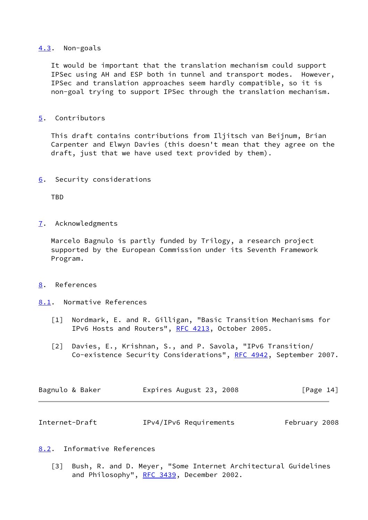## <span id="page-15-0"></span>[4.3](#page-15-0). Non-goals

 It would be important that the translation mechanism could support IPSec using AH and ESP both in tunnel and transport modes. However, IPSec and translation approaches seem hardly compatible, so it is non-goal trying to support IPSec through the translation mechanism.

<span id="page-15-1"></span>[5](#page-15-1). Contributors

 This draft contains contributions from Iljitsch van Beijnum, Brian Carpenter and Elwyn Davies (this doesn't mean that they agree on the draft, just that we have used text provided by them).

<span id="page-15-2"></span>[6](#page-15-2). Security considerations

TBD

<span id="page-15-3"></span>[7](#page-15-3). Acknowledgments

 Marcelo Bagnulo is partly funded by Trilogy, a research project supported by the European Commission under its Seventh Framework Program.

- <span id="page-15-4"></span>[8](#page-15-4). References
- <span id="page-15-5"></span>[8.1](#page-15-5). Normative References
	- [1] Nordmark, E. and R. Gilligan, "Basic Transition Mechanisms for IPv6 Hosts and Routers", [RFC 4213](https://datatracker.ietf.org/doc/pdf/rfc4213), October 2005.
	- [2] Davies, E., Krishnan, S., and P. Savola, "IPv6 Transition/ Co-existence Security Considerations", [RFC 4942,](https://datatracker.ietf.org/doc/pdf/rfc4942) September 2007.

| Bagnulo & Baker | Expires August 23, 2008 | [Page 14] |
|-----------------|-------------------------|-----------|
|                 |                         |           |

<span id="page-15-7"></span>

| Internet-Draft | IPv4/IPv6 Requirements | February 2008 |
|----------------|------------------------|---------------|
|----------------|------------------------|---------------|

- <span id="page-15-8"></span><span id="page-15-6"></span>[8.2](#page-15-6). Informative References
	- [3] Bush, R. and D. Meyer, "Some Internet Architectural Guidelines and Philosophy", [RFC 3439](https://datatracker.ietf.org/doc/pdf/rfc3439), December 2002.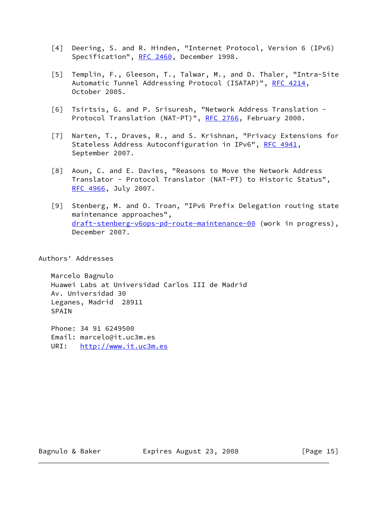- [4] Deering, S. and R. Hinden, "Internet Protocol, Version 6 (IPv6) Specification", [RFC 2460](https://datatracker.ietf.org/doc/pdf/rfc2460), December 1998.
- <span id="page-16-1"></span> [5] Templin, F., Gleeson, T., Talwar, M., and D. Thaler, "Intra-Site Automatic Tunnel Addressing Protocol (ISATAP)", [RFC 4214](https://datatracker.ietf.org/doc/pdf/rfc4214), October 2005.
- <span id="page-16-2"></span> [6] Tsirtsis, G. and P. Srisuresh, "Network Address Translation - Protocol Translation (NAT-PT)", [RFC 2766](https://datatracker.ietf.org/doc/pdf/rfc2766), February 2000.
- <span id="page-16-4"></span> [7] Narten, T., Draves, R., and S. Krishnan, "Privacy Extensions for Stateless Address Autoconfiguration in IPv6", [RFC 4941,](https://datatracker.ietf.org/doc/pdf/rfc4941) September 2007.
- <span id="page-16-3"></span> [8] Aoun, C. and E. Davies, "Reasons to Move the Network Address Translator - Protocol Translator (NAT-PT) to Historic Status", [RFC 4966](https://datatracker.ietf.org/doc/pdf/rfc4966), July 2007.
- <span id="page-16-0"></span> [9] Stenberg, M. and O. Troan, "IPv6 Prefix Delegation routing state maintenance approaches", [draft-stenberg-v6ops-pd-route-maintenance-00](https://datatracker.ietf.org/doc/pdf/draft-stenberg-v6ops-pd-route-maintenance-00) (work in progress), December 2007.

Authors' Addresses

 Marcelo Bagnulo Huawei Labs at Universidad Carlos III de Madrid Av. Universidad 30 Leganes, Madrid 28911 SPAIN

 Phone: 34 91 6249500 Email: marcelo@it.uc3m.es URI: <http://www.it.uc3m.es>

Bagnulo & Baker **Expires August 23, 2008** [Page 15]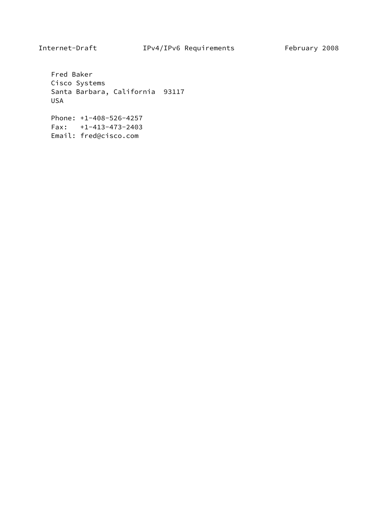Fred Baker Cisco Systems Santa Barbara, California 93117 USA

 Phone: +1-408-526-4257 Fax: +1-413-473-2403 Email: fred@cisco.com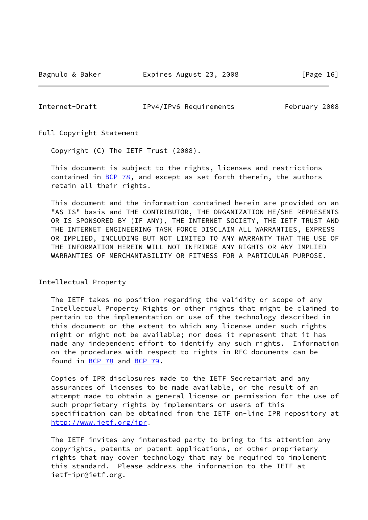<span id="page-18-0"></span>Internet-Draft IPv4/IPv6 Requirements February 2008

Full Copyright Statement

Copyright (C) The IETF Trust (2008).

 This document is subject to the rights, licenses and restrictions contained in  $BCP$  78, and except as set forth therein, the authors retain all their rights.

 This document and the information contained herein are provided on an "AS IS" basis and THE CONTRIBUTOR, THE ORGANIZATION HE/SHE REPRESENTS OR IS SPONSORED BY (IF ANY), THE INTERNET SOCIETY, THE IETF TRUST AND THE INTERNET ENGINEERING TASK FORCE DISCLAIM ALL WARRANTIES, EXPRESS OR IMPLIED, INCLUDING BUT NOT LIMITED TO ANY WARRANTY THAT THE USE OF THE INFORMATION HEREIN WILL NOT INFRINGE ANY RIGHTS OR ANY IMPLIED WARRANTIES OF MERCHANTABILITY OR FITNESS FOR A PARTICULAR PURPOSE.

Intellectual Property

 The IETF takes no position regarding the validity or scope of any Intellectual Property Rights or other rights that might be claimed to pertain to the implementation or use of the technology described in this document or the extent to which any license under such rights might or might not be available; nor does it represent that it has made any independent effort to identify any such rights. Information on the procedures with respect to rights in RFC documents can be found in [BCP 78](https://datatracker.ietf.org/doc/pdf/bcp78) and [BCP 79](https://datatracker.ietf.org/doc/pdf/bcp79).

 Copies of IPR disclosures made to the IETF Secretariat and any assurances of licenses to be made available, or the result of an attempt made to obtain a general license or permission for the use of such proprietary rights by implementers or users of this specification can be obtained from the IETF on-line IPR repository at <http://www.ietf.org/ipr>.

 The IETF invites any interested party to bring to its attention any copyrights, patents or patent applications, or other proprietary rights that may cover technology that may be required to implement this standard. Please address the information to the IETF at ietf-ipr@ietf.org.